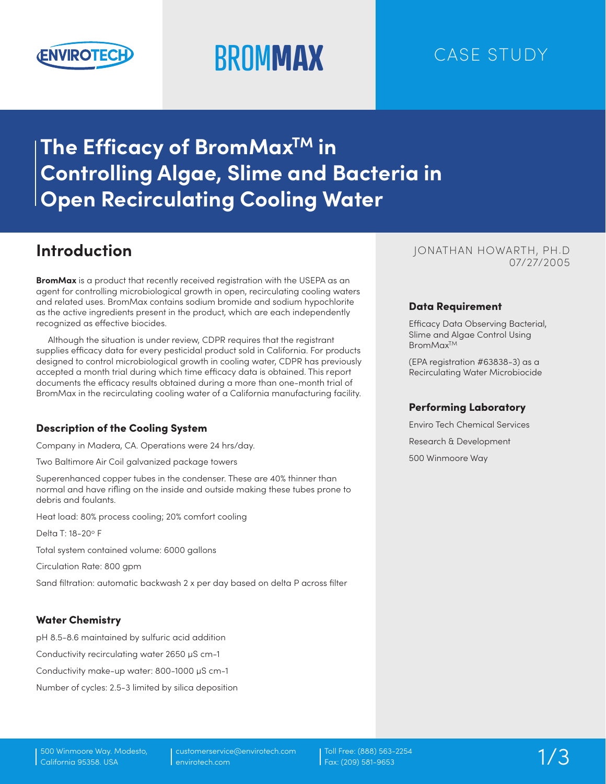

# **BROMMAX** CASE STUDY

# **The Efficacy of BromMaxTM in Controlling Algae, Slime and Bacteria in Open Recirculating Cooling Water**

## **Introduction**

**BromMax** is a product that recently received registration with the USEPA as an agent for controlling microbiological growth in open, recirculating cooling waters and related uses. BromMax contains sodium bromide and sodium hypochlorite as the active ingredients present in the product, which are each independently recognized as effective biocides.

Although the situation is under review, CDPR requires that the registrant supplies efficacy data for every pesticidal product sold in California. For products designed to control microbiological growth in cooling water, CDPR has previously accepted a month trial during which time efficacy data is obtained. This report documents the efficacy results obtained during a more than one-month trial of BromMax in the recirculating cooling water of a California manufacturing facility.

#### Description of the Cooling System

Company in Madera, CA. Operations were 24 hrs/day.

Two Baltimore Air Coil galvanized package towers

Superenhanced copper tubes in the condenser. These are 40% thinner than normal and have rifling on the inside and outside making these tubes prone to debris and foulants.

Heat load: 80% process cooling; 20% comfort cooling

Delta T: 18-20° F

Total system contained volume: 6000 gallons

Circulation Rate: 800 gpm

Sand filtration: automatic backwash 2 x per day based on delta P across filter

#### Water Chemistry

pH 8.5-8.6 maintained by sulfuric acid addition

Conductivity recirculating water 2650 µS cm-1

Conductivity make-up water: 800-1000 µS cm-1

Number of cycles: 2.5-3 limited by silica deposition

#### 07/27/2005 JONATHAN HOWARTH, PH.D

#### Data Requirement

Efficacy Data Observing Bacterial, Slime and Algae Control Using BromMax<sup>TM</sup>

(EPA registration #63838-3) as a Recirculating Water Microbiocide

#### Performing Laboratory

Enviro Tech Chemical Services Research & Development 500 Winmoore Way

Toll Free: (888) 563-2254 Fax: (209) 581-9653 1/3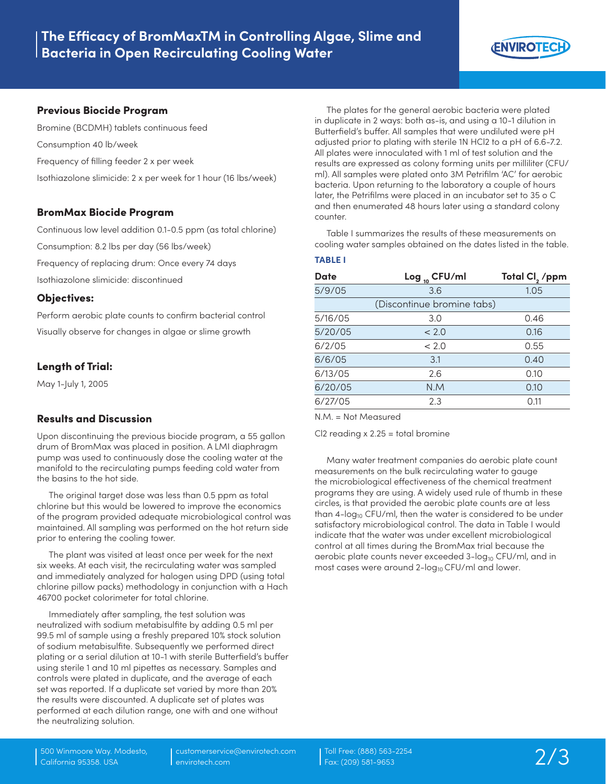

#### Previous Biocide Program

Bromine (BCDMH) tablets continuous feed Consumption 40 lb/week Frequency of filling feeder 2 x per week Isothiazolone slimicide: 2 x per week for 1 hour (16 lbs/week)

#### BromMax Biocide Program

Continuous low level addition 0.1-0.5 ppm (as total chlorine)

Consumption: 8.2 lbs per day (56 lbs/week)

Frequency of replacing drum: Once every 74 days

Isothiazolone slimicide: discontinued

#### Objectives:

Perform aerobic plate counts to confirm bacterial control Visually observe for changes in algae or slime growth

#### Length of Trial:

May 1-July 1, 2005

#### Results and Discussion

Upon discontinuing the previous biocide program, a 55 gallon drum of BromMax was placed in position. A LMI diaphragm pump was used to continuously dose the cooling water at the manifold to the recirculating pumps feeding cold water from the basins to the hot side.

The original target dose was less than 0.5 ppm as total chlorine but this would be lowered to improve the economics of the program provided adequate microbiological control was maintained. All sampling was performed on the hot return side prior to entering the cooling tower.

The plant was visited at least once per week for the next six weeks. At each visit, the recirculating water was sampled and immediately analyzed for halogen using DPD (using total chlorine pillow packs) methodology in conjunction with a Hach 46700 pocket colorimeter for total chlorine.

Immediately after sampling, the test solution was neutralized with sodium metabisulfite by adding 0.5 ml per 99.5 ml of sample using a freshly prepared 10% stock solution of sodium metabisulfite. Subsequently we performed direct plating or a serial dilution at 10-1 with sterile Butterfield's buffer using sterile 1 and 10 ml pipettes as necessary. Samples and controls were plated in duplicate, and the average of each set was reported. If a duplicate set varied by more than 20% the results were discounted. A duplicate set of plates was performed at each dilution range, one with and one without the neutralizing solution.

The plates for the general aerobic bacteria were plated in duplicate in 2 ways: both as-is, and using a 10-1 dilution in Butterfield's buffer. All samples that were undiluted were pH adjusted prior to plating with sterile 1N HCl2 to a pH of 6.6-7.2. All plates were innoculated with 1 ml of test solution and the results are expressed as colony forming units per milliliter (CFU/ ml). All samples were plated onto 3M Petrifilm 'AC' for aerobic bacteria. Upon returning to the laboratory a couple of hours later, the Petrifilms were placed in an incubator set to 35 o C and then enumerated 48 hours later using a standard colony counter.

Table I summarizes the results of these measurements on cooling water samples obtained on the dates listed in the table.

#### **TABLE I**

| Date    | Log $_{10}$ CFU/ml         | Total CI <sub>2</sub> /ppm |
|---------|----------------------------|----------------------------|
| 5/9/05  | 3.6                        | 1.05                       |
|         | (Discontinue bromine tabs) |                            |
| 5/16/05 | 3.0                        | 0.46                       |
| 5/20/05 | < 2.0                      | 0.16                       |
| 6/2/05  | < 2.0                      | 0.55                       |
| 6/6/05  | 3.1                        | 0.40                       |
| 6/13/05 | 2.6                        | 0.10                       |
| 6/20/05 | N.M                        | 0.10                       |
| 6/27/05 | 2.3                        | 0.11                       |
|         |                            |                            |

N.M. = Not Measured

 $Cl2$  reading  $x 2.25 =$  total bromine

Many water treatment companies do aerobic plate count measurements on the bulk recirculating water to gauge the microbiological effectiveness of the chemical treatment programs they are using. A widely used rule of thumb in these circles, is that provided the aerobic plate counts are at less than  $4$ -log<sub>10</sub> CFU/ml, then the water is considered to be under satisfactory microbiological control. The data in Table I would indicate that the water was under excellent microbiological control at all times during the BromMax trial because the aerobic plate counts never exceeded 3-log<sub>10</sub> CFU/ml, and in most cases were around  $2$ -log<sub>10</sub> CFU/ml and lower.

customerservice@envirotech.com envirotech.com